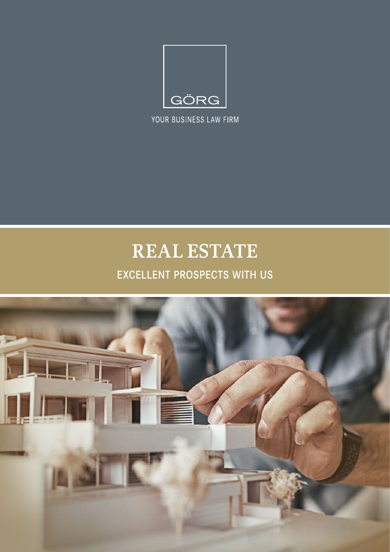

YOUR BUSINESS LAW FIRM

# **REAL ESTATE**

### EXCELLENT PROSPECTS WITH US

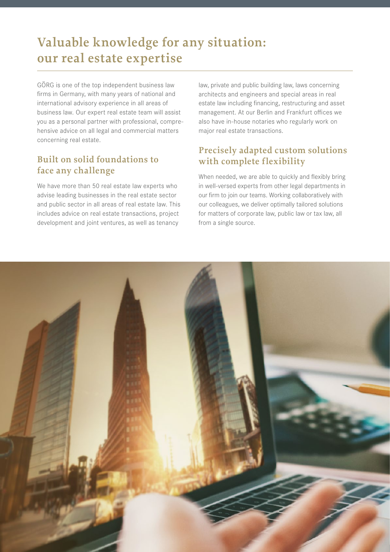# **Valuable knowledge for any situation: our real estate expertise**

GÖRG is one of the top independent business law firms in Germany, with many years of national and international advisory experience in all areas of business law. Our expert real estate team will assist you as a personal partner with professional, comprehensive advice on all legal and commercial matters concerning real estate.

### **Built on solid foundations to face any challenge**

We have more than 50 real estate law experts who advise leading businesses in the real estate sector and public sector in all areas of real estate law. This includes advice on real estate transactions, project development and joint ventures, as well as tenancy

law, private and public building law, laws concerning architects and engineers and special areas in real estate law including financing, restructuring and asset management. At our Berlin and Frankfurt offices we also have in-house notaries who regularly work on major real estate transactions.

### **Precisely adapted custom solutions with complete flexibility**

When needed, we are able to quickly and flexibly bring in well-versed experts from other legal departments in our firm to join our teams. Working collaboratively with our colleagues, we deliver optimally tailored solutions for matters of corporate law, public law or tax law, all from a single source.

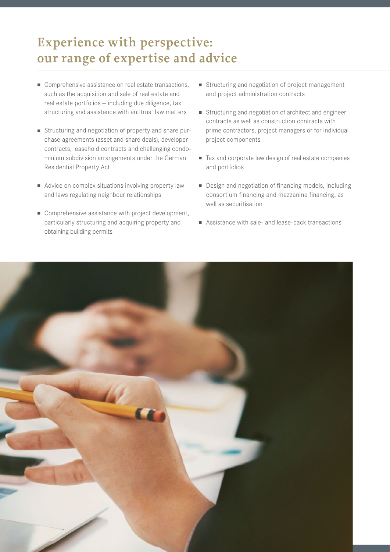## **Experience with perspective: our range of expertise and advice**

- Comprehensive assistance on real estate transactions, such as the acquisition and sale of real estate and real estate portfolios — including due diligence, tax structuring and assistance with antitrust law matters
- <sup>n</sup> Structuring and negotiation of property and share purchase agreements (asset and share deals), developer contracts, leasehold contracts and challenging condominium subdivision arrangements under the German Residential Property Act
- Advice on complex situations involving property law and laws regulating neighbour relationships
- Comprehensive assistance with project development, particularly structuring and acquiring property and obtaining building permits
- Structuring and negotiation of project management and project administration contracts
- Structuring and negotiation of architect and engineer contracts as well as construction contracts with prime contractors, project managers or for individual project components
- Tax and corporate law design of real estate companies and portfolios
- Design and negotiation of financing models, including consortium financing and mezzanine financing, as well as securitisation
- $\blacksquare$  Assistance with sale- and lease-back transactions

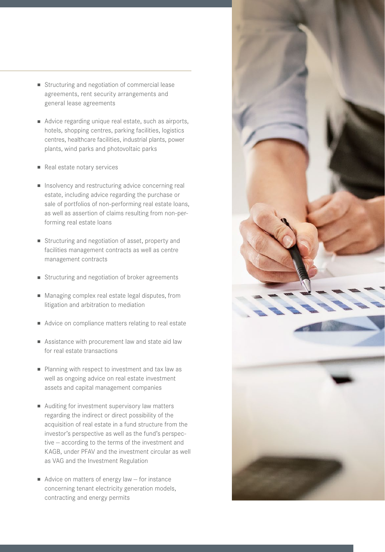- Structuring and negotiation of commercial lease agreements, rent security arrangements and general lease agreements
- Advice regarding unique real estate, such as airports, hotels, shopping centres, parking facilities, logistics centres, healthcare facilities, industrial plants, power plants, wind parks and photovoltaic parks
- Real estate notary services
- n Insolvency and restructuring advice concerning real estate, including advice regarding the purchase or sale of portfolios of non-performing real estate loans, as well as assertion of claims resulting from non-performing real estate loans
- Structuring and negotiation of asset, property and facilities management contracts as well as centre management contracts
- Structuring and negotiation of broker agreements
- Managing complex real estate legal disputes, from litigation and arbitration to mediation
- Advice on compliance matters relating to real estate
- **n** Assistance with procurement law and state aid law for real estate transactions
- Planning with respect to investment and tax law as well as ongoing advice on real estate investment assets and capital management companies
- $\blacksquare$  Auditing for investment supervisory law matters regarding the indirect or direct possibility of the acquisition of real estate in a fund structure from the investor's perspective as well as the fund's perspective — according to the terms of the investment and KAGB, under PFAV and the investment circular as well as VAG and the Investment Regulation
- Advice on matters of energy law  $-$  for instance concerning tenant electricity generation models, contracting and energy permits

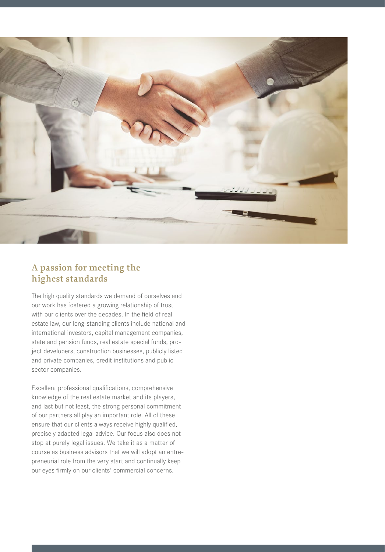

### **A passion for meeting the highest standards**

The high quality standards we demand of ourselves and our work has fostered a growing relationship of trust with our clients over the decades. In the field of real estate law, our long-standing clients include national and international investors, capital management companies, state and pension funds, real estate special funds, project developers, construction businesses, publicly listed and private companies, credit institutions and public sector companies.

Excellent professional qualifications, comprehensive knowledge of the real estate market and its players, and last but not least, the strong personal commitment of our partners all play an important role. All of these ensure that our clients always receive highly qualified, precisely adapted legal advice. Our focus also does not stop at purely legal issues. We take it as a matter of course as business advisors that we will adopt an entrepreneurial role from the very start and continually keep our eyes firmly on our clients' commercial concerns.